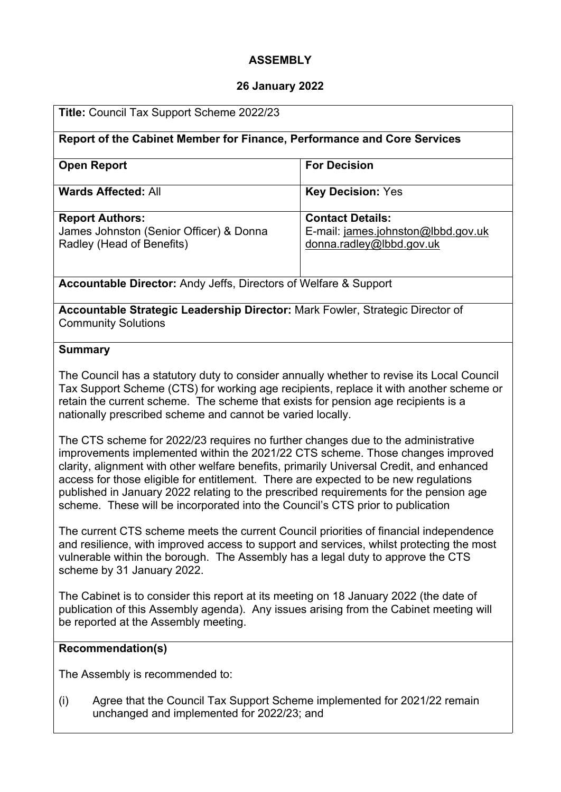## **ASSEMBLY**

#### **26 January 2022**

| Title: Council Tax Support Scheme 2022/23                                                                                                                                                                                                                                                                                              |                                                                                           |  |  |  |
|----------------------------------------------------------------------------------------------------------------------------------------------------------------------------------------------------------------------------------------------------------------------------------------------------------------------------------------|-------------------------------------------------------------------------------------------|--|--|--|
| Report of the Cabinet Member for Finance, Performance and Core Services                                                                                                                                                                                                                                                                |                                                                                           |  |  |  |
| <b>Open Report</b>                                                                                                                                                                                                                                                                                                                     | <b>For Decision</b>                                                                       |  |  |  |
| <b>Wards Affected: All</b>                                                                                                                                                                                                                                                                                                             | <b>Key Decision: Yes</b>                                                                  |  |  |  |
| <b>Report Authors:</b><br>James Johnston (Senior Officer) & Donna<br>Radley (Head of Benefits)                                                                                                                                                                                                                                         | <b>Contact Details:</b><br>E-mail: james.johnston@lbbd.gov.uk<br>donna.radley@lbbd.gov.uk |  |  |  |
| <b>Accountable Director:</b> Andy Jeffs, Directors of Welfare & Support                                                                                                                                                                                                                                                                |                                                                                           |  |  |  |
| <b>Accountable Strategic Leadership Director:</b> Mark Fowler, Strategic Director of<br><b>Community Solutions</b>                                                                                                                                                                                                                     |                                                                                           |  |  |  |
| <b>Summary</b>                                                                                                                                                                                                                                                                                                                         |                                                                                           |  |  |  |
| The Council has a statutory duty to consider annually whether to revise its Local Council<br>Tax Support Scheme (CTS) for working age recipients, replace it with another scheme or<br>retain the current scheme. The scheme that exists for pension age recipients is a<br>nationally prescribed scheme and cannot be varied locally. |                                                                                           |  |  |  |

The CTS scheme for 2022/23 requires no further changes due to the administrative improvements implemented within the 2021/22 CTS scheme. Those changes improved clarity, alignment with other welfare benefits, primarily Universal Credit, and enhanced access for those eligible for entitlement. There are expected to be new regulations published in January 2022 relating to the prescribed requirements for the pension age scheme. These will be incorporated into the Council's CTS prior to publication

The current CTS scheme meets the current Council priorities of financial independence and resilience, with improved access to support and services, whilst protecting the most vulnerable within the borough. The Assembly has a legal duty to approve the CTS scheme by 31 January 2022.

The Cabinet is to consider this report at its meeting on 18 January 2022 (the date of publication of this Assembly agenda). Any issues arising from the Cabinet meeting will be reported at the Assembly meeting.

# **Recommendation(s)**

The Assembly is recommended to:

(i) Agree that the Council Tax Support Scheme implemented for 2021/22 remain unchanged and implemented for 2022/23; and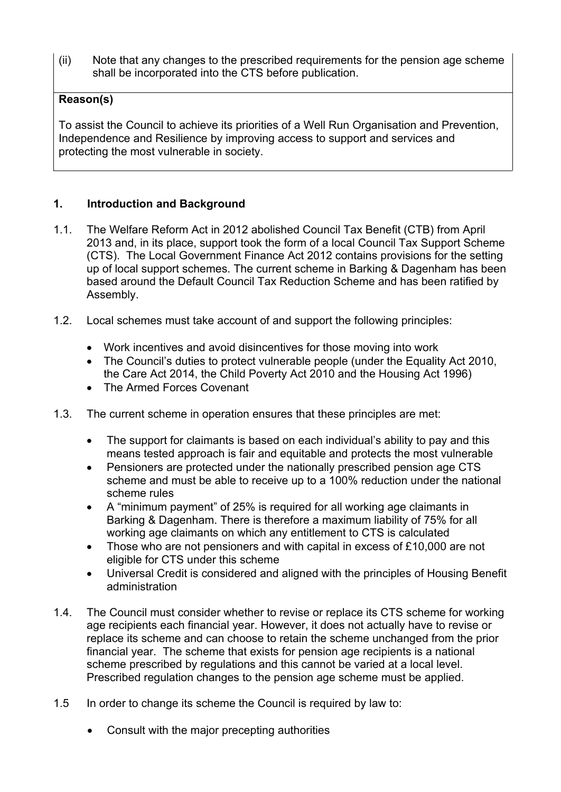(ii) Note that any changes to the prescribed requirements for the pension age scheme shall be incorporated into the CTS before publication.

# **Reason(s)**

To assist the Council to achieve its priorities of a Well Run Organisation and Prevention, Independence and Resilience by improving access to support and services and protecting the most vulnerable in society.

# **1. Introduction and Background**

- 1.1. The Welfare Reform Act in 2012 abolished Council Tax Benefit (CTB) from April 2013 and, in its place, support took the form of a local Council Tax Support Scheme (CTS). The Local Government Finance Act 2012 contains provisions for the setting up of local support schemes. The current scheme in Barking & Dagenham has been based around the Default Council Tax Reduction Scheme and has been ratified by Assembly.
- 1.2. Local schemes must take account of and support the following principles:
	- Work incentives and avoid disincentives for those moving into work
	- The Council's duties to protect vulnerable people (under the Equality Act 2010, the Care Act 2014, the Child Poverty Act 2010 and the Housing Act 1996)
	- The Armed Forces Covenant
- 1.3. The current scheme in operation ensures that these principles are met:
	- The support for claimants is based on each individual's ability to pay and this means tested approach is fair and equitable and protects the most vulnerable
	- Pensioners are protected under the nationally prescribed pension age CTS scheme and must be able to receive up to a 100% reduction under the national scheme rules
	- A "minimum payment" of 25% is required for all working age claimants in Barking & Dagenham. There is therefore a maximum liability of 75% for all working age claimants on which any entitlement to CTS is calculated
	- Those who are not pensioners and with capital in excess of £10,000 are not eligible for CTS under this scheme
	- Universal Credit is considered and aligned with the principles of Housing Benefit administration
- 1.4. The Council must consider whether to revise or replace its CTS scheme for working age recipients each financial year. However, it does not actually have to revise or replace its scheme and can choose to retain the scheme unchanged from the prior financial year. The scheme that exists for pension age recipients is a national scheme prescribed by regulations and this cannot be varied at a local level. Prescribed regulation changes to the pension age scheme must be applied.
- 1.5 In order to change its scheme the Council is required by law to:
	- Consult with the major precepting authorities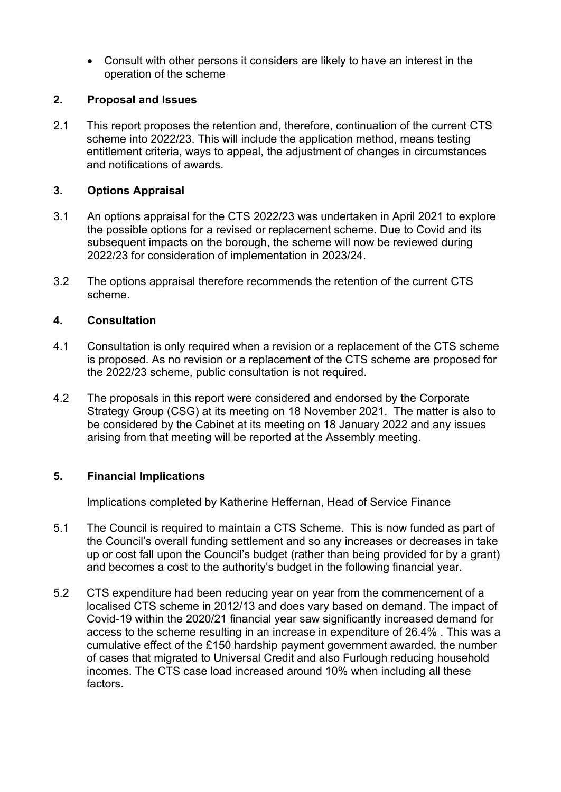Consult with other persons it considers are likely to have an interest in the operation of the scheme

## **2. Proposal and Issues**

2.1 This report proposes the retention and, therefore, continuation of the current CTS scheme into 2022/23. This will include the application method, means testing entitlement criteria, ways to appeal, the adjustment of changes in circumstances and notifications of awards.

## **3. Options Appraisal**

- 3.1 An options appraisal for the CTS 2022/23 was undertaken in April 2021 to explore the possible options for a revised or replacement scheme. Due to Covid and its subsequent impacts on the borough, the scheme will now be reviewed during 2022/23 for consideration of implementation in 2023/24.
- 3.2 The options appraisal therefore recommends the retention of the current CTS scheme.

#### **4. Consultation**

- 4.1 Consultation is only required when a revision or a replacement of the CTS scheme is proposed. As no revision or a replacement of the CTS scheme are proposed for the 2022/23 scheme, public consultation is not required.
- 4.2 The proposals in this report were considered and endorsed by the Corporate Strategy Group (CSG) at its meeting on 18 November 2021. The matter is also to be considered by the Cabinet at its meeting on 18 January 2022 and any issues arising from that meeting will be reported at the Assembly meeting.

# **5. Financial Implications**

Implications completed by Katherine Heffernan, Head of Service Finance

- 5.1 The Council is required to maintain a CTS Scheme. This is now funded as part of the Council's overall funding settlement and so any increases or decreases in take up or cost fall upon the Council's budget (rather than being provided for by a grant) and becomes a cost to the authority's budget in the following financial year.
- 5.2 CTS expenditure had been reducing year on year from the commencement of a localised CTS scheme in 2012/13 and does vary based on demand. The impact of Covid-19 within the 2020/21 financial year saw significantly increased demand for access to the scheme resulting in an increase in expenditure of 26.4% . This was a cumulative effect of the £150 hardship payment government awarded, the number of cases that migrated to Universal Credit and also Furlough reducing household incomes. The CTS case load increased around 10% when including all these factors.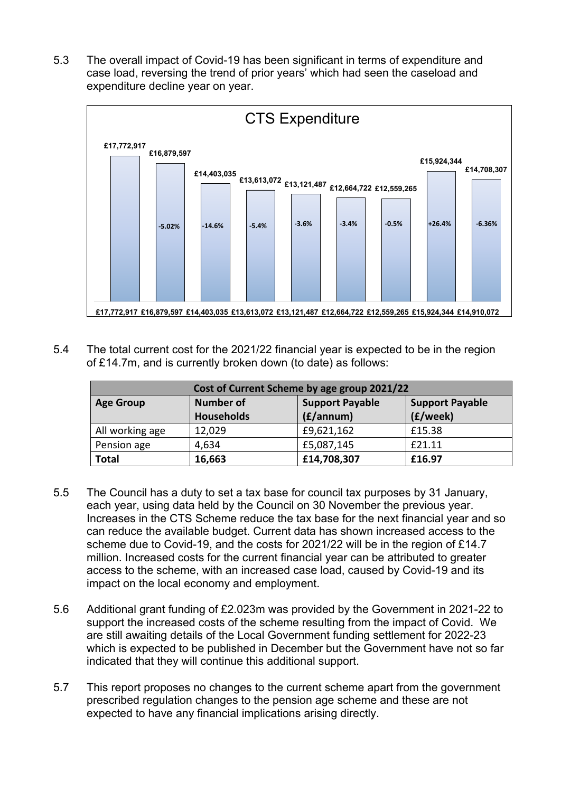5.3 The overall impact of Covid-19 has been significant in terms of expenditure and case load, reversing the trend of prior years' which had seen the caseload and expenditure decline year on year.



5.4 The total current cost for the 2021/22 financial year is expected to be in the region of £14.7m, and is currently broken down (to date) as follows:

| Cost of Current Scheme by age group 2021/22 |                   |                        |                        |
|---------------------------------------------|-------------------|------------------------|------------------------|
| <b>Age Group</b>                            | <b>Number of</b>  | <b>Support Payable</b> | <b>Support Payable</b> |
|                                             | <b>Households</b> | (f/annum)              | (£/week)               |
| All working age                             | 12,029            | £9,621,162             | £15.38                 |
| Pension age                                 | 4,634             | £5,087,145             | £21.11                 |
| <b>Total</b>                                | 16,663            | £14,708,307            | £16.97                 |

- 5.5 The Council has a duty to set a tax base for council tax purposes by 31 January, each year, using data held by the Council on 30 November the previous year. Increases in the CTS Scheme reduce the tax base for the next financial year and so can reduce the available budget. Current data has shown increased access to the scheme due to Covid-19, and the costs for 2021/22 will be in the region of £14.7 million. Increased costs for the current financial year can be attributed to greater access to the scheme, with an increased case load, caused by Covid-19 and its impact on the local economy and employment.
- 5.6 Additional grant funding of £2.023m was provided by the Government in 2021-22 to support the increased costs of the scheme resulting from the impact of Covid. We are still awaiting details of the Local Government funding settlement for 2022-23 which is expected to be published in December but the Government have not so far indicated that they will continue this additional support.
- 5.7 This report proposes no changes to the current scheme apart from the government prescribed regulation changes to the pension age scheme and these are not expected to have any financial implications arising directly.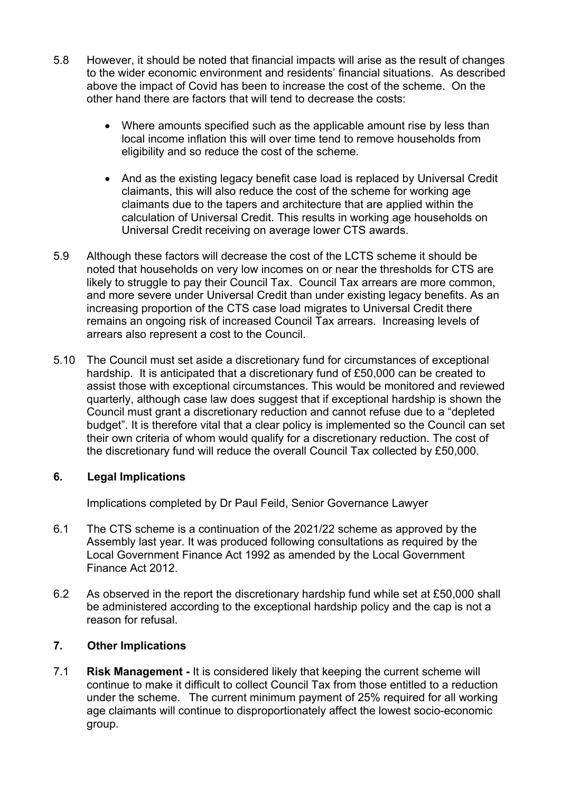- 5.8 However, it should be noted that financial impacts will arise as the result of changes to the wider economic environment and residents' financial situations. As described above the impact of Covid has been to increase the cost of the scheme. On the other hand there are factors that will tend to decrease the costs:
	- Where amounts specified such as the applicable amount rise by less than local income inflation this will over time tend to remove households from eligibility and so reduce the cost of the scheme.
	- And as the existing legacy benefit case load is replaced by Universal Credit claimants, this will also reduce the cost of the scheme for working age claimants due to the tapers and architecture that are applied within the calculation of Universal Credit. This results in working age households on Universal Credit receiving on average lower CTS awards.
- 5.9 Although these factors will decrease the cost of the LCTS scheme it should be noted that households on very low incomes on or near the thresholds for CTS are likely to struggle to pay their Council Tax. Council Tax arrears are more common, and more severe under Universal Credit than under existing legacy benefits. As an increasing proportion of the CTS case load migrates to Universal Credit there remains an ongoing risk of increased Council Tax arrears. Increasing levels of arrears also represent a cost to the Council.
- 5.10 The Council must set aside a discretionary fund for circumstances of exceptional hardship. It is anticipated that a discretionary fund of £50,000 can be created to assist those with exceptional circumstances. This would be monitored and reviewed quarterly, although case law does suggest that if exceptional hardship is shown the Council must grant a discretionary reduction and cannot refuse due to a "depleted budget". It is therefore vital that a clear policy is implemented so the Council can set their own criteria of whom would qualify for a discretionary reduction. The cost of the discretionary fund will reduce the overall Council Tax collected by £50,000.

# **6. Legal Implications**

Implications completed by Dr Paul Feild, Senior Governance Lawyer

- 6.1 The CTS scheme is a continuation of the 2021/22 scheme as approved by the Assembly last year. It was produced following consultations as required by the Local Government Finance Act 1992 as amended by the Local Government Finance Act 2012.
- 6.2 As observed in the report the discretionary hardship fund while set at £50,000 shall be administered according to the exceptional hardship policy and the cap is not a reason for refusal.

# **7. Other Implications**

7.1 **Risk Management -** It is considered likely that keeping the current scheme will continue to make it difficult to collect Council Tax from those entitled to a reduction under the scheme. The current minimum payment of 25% required for all working age claimants will continue to disproportionately affect the lowest socio-economic group.